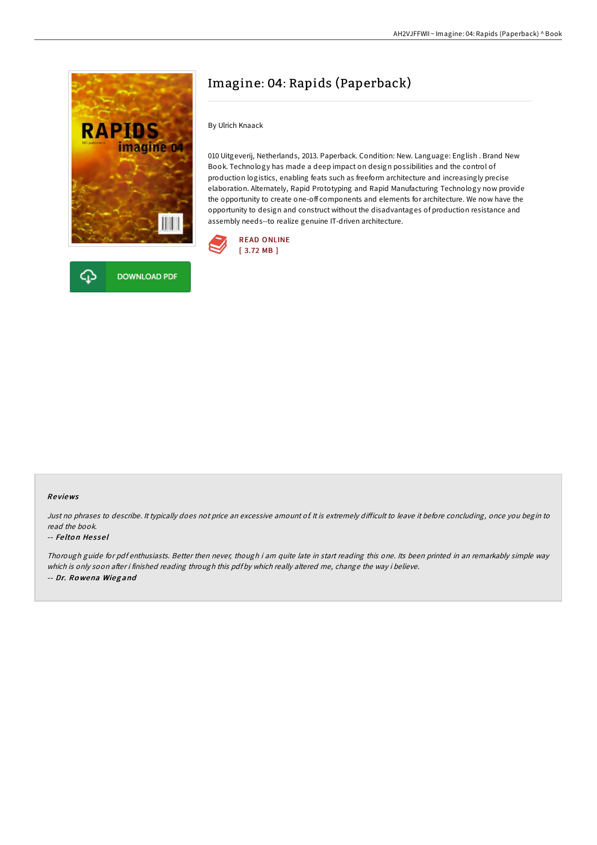

# Imagine: 04: Rapids (Paperback)

By Ulrich Knaack

010 Uitgeverij, Netherlands, 2013. Paperback. Condition: New. Language: English . Brand New Book. Technology has made a deep impact on design possibilities and the control of production logistics, enabling feats such as freeform architecture and increasingly precise elaboration. Alternately, Rapid Prototyping and Rapid Manufacturing Technology now provide the opportunity to create one-off components and elements for architecture. We now have the opportunity to design and construct without the disadvantages of production resistance and assembly needs--to realize genuine IT-driven architecture.



## Re views

Just no phrases to describe. It typically does not price an excessive amount of It is extremely difficult to leave it before concluding, once you begin to read the book.

#### -- Fe lto <sup>n</sup> He s se l

Thorough guide for pdf enthusiasts. Better then never, though i am quite late in start reading this one. Its been printed in an remarkably simple way which is only soon after i finished reading through this pdf by which really altered me, change the way i believe. -- Dr. Ro wena Wieg and